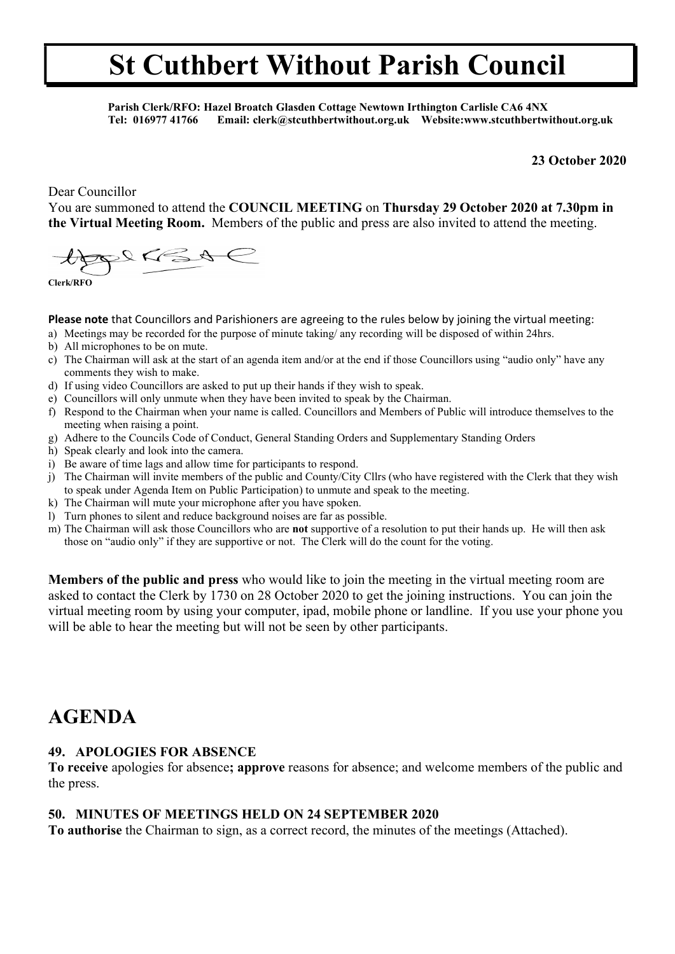Parish Clerk/RFO: Hazel Broatch Glasden Cottage Newtown Irthington Carlisle CA6 4NX Tel: 016977 41766 Email: clerk@stcuthbertwithout.org.uk Website:www.stcuthbertwithout.org.uk

#### 23 October 2020

Dear Councillor

You are summoned to attend the COUNCIL MEETING on Thursday 29 October 2020 at 7.30pm in the Virtual Meeting Room. Members of the public and press are also invited to attend the meeting.

 $2865$ 

Clerk/RFO

Please note that Councillors and Parishioners are agreeing to the rules below by joining the virtual meeting:

- a) Meetings may be recorded for the purpose of minute taking/ any recording will be disposed of within 24hrs.
- b) All microphones to be on mute.
- c) The Chairman will ask at the start of an agenda item and/or at the end if those Councillors using "audio only" have any comments they wish to make.
- d) If using video Councillors are asked to put up their hands if they wish to speak.
- e) Councillors will only unmute when they have been invited to speak by the Chairman.
- f) Respond to the Chairman when your name is called. Councillors and Members of Public will introduce themselves to the meeting when raising a point.
- g) Adhere to the Councils Code of Conduct, General Standing Orders and Supplementary Standing Orders
- h) Speak clearly and look into the camera.
- i) Be aware of time lags and allow time for participants to respond.
- j) The Chairman will invite members of the public and County/City Cllrs (who have registered with the Clerk that they wish to speak under Agenda Item on Public Participation) to unmute and speak to the meeting.
- k) The Chairman will mute your microphone after you have spoken.
- l) Turn phones to silent and reduce background noises are far as possible.
- m) The Chairman will ask those Councillors who are not supportive of a resolution to put their hands up. He will then ask those on "audio only" if they are supportive or not. The Clerk will do the count for the voting.

Members of the public and press who would like to join the meeting in the virtual meeting room are asked to contact the Clerk by 1730 on 28 October 2020 to get the joining instructions. You can join the virtual meeting room by using your computer, ipad, mobile phone or landline. If you use your phone you will be able to hear the meeting but will not be seen by other participants.

### AGENDA

#### 49. APOLOGIES FOR ABSENCE

To receive apologies for absence; approve reasons for absence; and welcome members of the public and the press.

#### 50. MINUTES OF MEETINGS HELD ON 24 SEPTEMBER 2020

To authorise the Chairman to sign, as a correct record, the minutes of the meetings (Attached).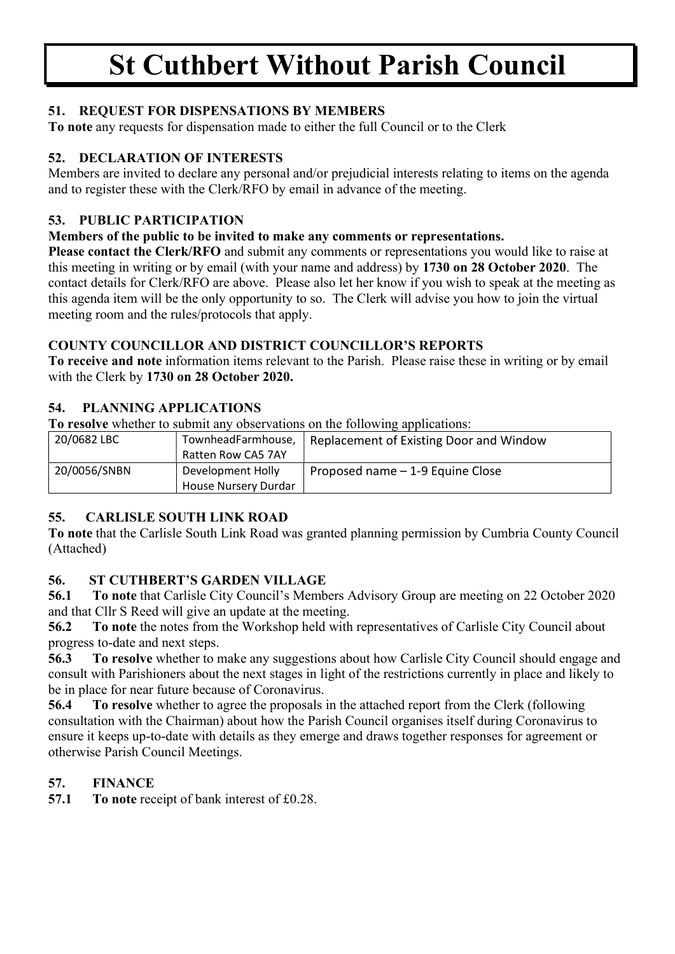#### 51. REQUEST FOR DISPENSATIONS BY MEMBERS

To note any requests for dispensation made to either the full Council or to the Clerk

#### 52. DECLARATION OF INTERESTS

Members are invited to declare any personal and/or prejudicial interests relating to items on the agenda and to register these with the Clerk/RFO by email in advance of the meeting.

#### 53. PUBLIC PARTICIPATION

#### Members of the public to be invited to make any comments or representations.

Please contact the Clerk/RFO and submit any comments or representations you would like to raise at this meeting in writing or by email (with your name and address) by 1730 on 28 October 2020. The contact details for Clerk/RFO are above. Please also let her know if you wish to speak at the meeting as this agenda item will be the only opportunity to so. The Clerk will advise you how to join the virtual meeting room and the rules/protocols that apply.

#### COUNTY COUNCILLOR AND DISTRICT COUNCILLOR'S REPORTS

To receive and note information items relevant to the Parish. Please raise these in writing or by email with the Clerk by 1730 on 28 October 2020.

#### 54. PLANNING APPLICATIONS

To resolve whether to submit any observations on the following applications:

| 20/0682 LBC  | TownheadFarmhouse,          | Replacement of Existing Door and Window |  |
|--------------|-----------------------------|-----------------------------------------|--|
|              | Ratten Row CA5 7AY          |                                         |  |
| 20/0056/SNBN | Development Holly           | Proposed name - 1-9 Equine Close        |  |
|              | <b>House Nursery Durdar</b> |                                         |  |

### 55. CARLISLE SOUTH LINK ROAD

To note that the Carlisle South Link Road was granted planning permission by Cumbria County Council (Attached)

#### 56. ST CUTHBERT'S GARDEN VILLAGE

56.1 To note that Carlisle City Council's Members Advisory Group are meeting on 22 October 2020 and that Cllr S Reed will give an update at the meeting.

56.2 To note the notes from the Workshop held with representatives of Carlisle City Council about progress to-date and next steps.

56.3 To resolve whether to make any suggestions about how Carlisle City Council should engage and consult with Parishioners about the next stages in light of the restrictions currently in place and likely to be in place for near future because of Coronavirus.

56.4 To resolve whether to agree the proposals in the attached report from the Clerk (following consultation with the Chairman) about how the Parish Council organises itself during Coronavirus to ensure it keeps up-to-date with details as they emerge and draws together responses for agreement or otherwise Parish Council Meetings.

### 57. FINANCE

57.1 To note receipt of bank interest of £0.28.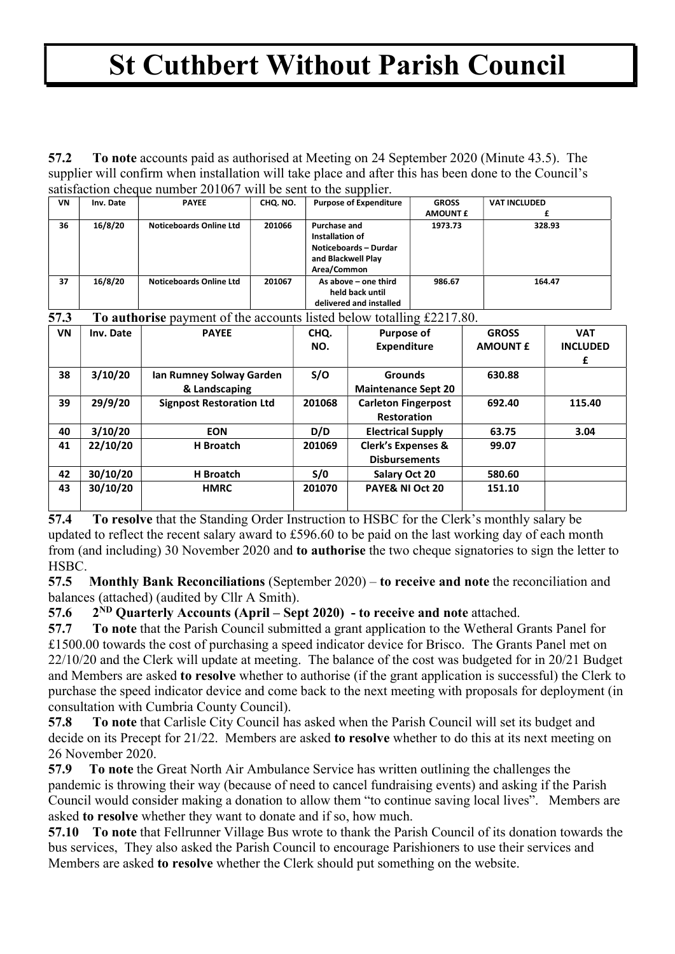57.2 To note accounts paid as authorised at Meeting on 24 September 2020 (Minute 43.5). The supplier will confirm when installation will take place and after this has been done to the Council's satisfaction cheque number 201067 will be sent to the supplier.

| $\frac{1}{2}$ outstached the control $\frac{1}{2}$ or $\frac{1}{2}$ of $\frac{1}{2}$ or $\frac{1}{2}$ or $\frac{1}{2}$ or $\frac{1}{2}$ or $\frac{1}{2}$ |           |                                |          |                                                                                                      |                 |                     |  |  |  |
|----------------------------------------------------------------------------------------------------------------------------------------------------------|-----------|--------------------------------|----------|------------------------------------------------------------------------------------------------------|-----------------|---------------------|--|--|--|
| VN                                                                                                                                                       | Inv. Date | <b>PAYEE</b>                   | CHQ. NO. | <b>Purpose of Expenditure</b>                                                                        | <b>GROSS</b>    | <b>VAT INCLUDED</b> |  |  |  |
|                                                                                                                                                          |           |                                |          |                                                                                                      | <b>AMOUNT £</b> |                     |  |  |  |
| 36                                                                                                                                                       | 16/8/20   | <b>Noticeboards Online Ltd</b> | 201066   | Purchase and<br>Installation of<br><b>Noticeboards - Durdar</b><br>and Blackwell Play<br>Area/Common | 1973.73         | 328.93              |  |  |  |
| 37                                                                                                                                                       | 16/8/20   | <b>Noticeboards Online Ltd</b> | 201067   | As above – one third<br>held back until<br>delivered and installed                                   | 986.67          | 164.47              |  |  |  |

57.3 To authorise payment of the accounts listed below totalling £2217.80.

| VN | Inv. Date | <b>PAYEE</b>                    | CHQ.   | <b>Purpose of</b>             | <b>GROSS</b>    | <b>VAT</b>      |
|----|-----------|---------------------------------|--------|-------------------------------|-----------------|-----------------|
|    |           |                                 | NO.    | <b>Expenditure</b>            | <b>AMOUNT £</b> | <b>INCLUDED</b> |
|    |           |                                 |        |                               |                 | £               |
| 38 | 3/10/20   | Ian Rumney Solway Garden        | S/O    | <b>Grounds</b>                | 630.88          |                 |
|    |           | & Landscaping                   |        | <b>Maintenance Sept 20</b>    |                 |                 |
| 39 | 29/9/20   | <b>Signpost Restoration Ltd</b> | 201068 | <b>Carleton Fingerpost</b>    | 692.40          | 115.40          |
|    |           |                                 |        | <b>Restoration</b>            |                 |                 |
| 40 | 3/10/20   | <b>EON</b>                      | D/D    | <b>Electrical Supply</b>      | 63.75           | 3.04            |
| 41 | 22/10/20  | <b>H</b> Broatch                | 201069 | <b>Clerk's Expenses &amp;</b> | 99.07           |                 |
|    |           |                                 |        | <b>Disbursements</b>          |                 |                 |
| 42 | 30/10/20  | <b>H</b> Broatch                | S/0    | Salary Oct 20                 | 580.60          |                 |
| 43 | 30/10/20  | <b>HMRC</b>                     | 201070 | PAYE& NI Oct 20               | 151.10          |                 |
|    |           |                                 |        |                               |                 |                 |

57.4 To resolve that the Standing Order Instruction to HSBC for the Clerk's monthly salary be updated to reflect the recent salary award to £596.60 to be paid on the last working day of each month from (and including) 30 November 2020 and to authorise the two cheque signatories to sign the letter to HSBC.

57.5 Monthly Bank Reconciliations (September 2020) – to receive and note the reconciliation and balances (attached) (audited by Cllr A Smith).

57.6  $2^{ND}$  Ouarterly Accounts (April – Sept 2020) - to receive and note attached.

57.7 To note that the Parish Council submitted a grant application to the Wetheral Grants Panel for £1500.00 towards the cost of purchasing a speed indicator device for Brisco. The Grants Panel met on 22/10/20 and the Clerk will update at meeting. The balance of the cost was budgeted for in 20/21 Budget and Members are asked to resolve whether to authorise (if the grant application is successful) the Clerk to purchase the speed indicator device and come back to the next meeting with proposals for deployment (in consultation with Cumbria County Council).

57.8 To note that Carlisle City Council has asked when the Parish Council will set its budget and decide on its Precept for 21/22. Members are asked to resolve whether to do this at its next meeting on 26 November 2020.

57.9 To note the Great North Air Ambulance Service has written outlining the challenges the pandemic is throwing their way (because of need to cancel fundraising events) and asking if the Parish Council would consider making a donation to allow them "to continue saving local lives". Members are asked to resolve whether they want to donate and if so, how much.

57.10 To note that Fellrunner Village Bus wrote to thank the Parish Council of its donation towards the bus services, They also asked the Parish Council to encourage Parishioners to use their services and Members are asked to resolve whether the Clerk should put something on the website.